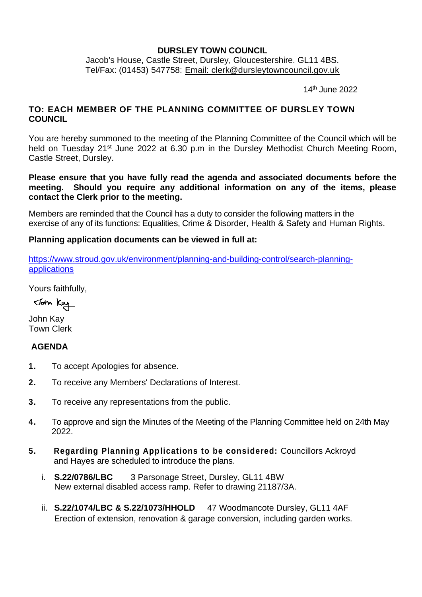### **DURSLEY TOWN COUNCIL**

Jacob's House, Castle Street, Dursley, Gloucestershire. GL11 4BS. Tel/Fax: (01453) 547758: [Email: clerk@dursleytowncouncil.gov.uk](mailto:clerk@dursleytowncouncil.gov.uk)

14 th June 2022

# **TO: EACH MEMBER OF THE PLANNING COMMITTEE OF DURSLEY TOWN COUNCIL**

You are hereby summoned to the meeting of the Planning Committee of the Council which will be held on Tuesday 21<sup>st</sup> June 2022 at 6.30 p.m in the Dursley Methodist Church Meeting Room, Castle Street, Dursley.

**Please ensure that you have fully read the agenda and associated documents before the meeting. Should you require any additional information on any of the items, please contact the Clerk prior to the meeting.**

Members are reminded that the Council has a duty to consider the following matters in the exercise of any of its functions: Equalities, Crime & Disorder, Health & Safety and Human Rights.

### **Planning application documents can be viewed in full at:**

[https://www.stroud.gov.uk/environment/planning-and-building-control/search-planning](https://www.stroud.gov.uk/environment/planning-and-building-control/search-planning-applications)[applications](https://www.stroud.gov.uk/environment/planning-and-building-control/search-planning-applications)

Yours faithfully,

John Kay

John Kay Town Clerk

# **AGENDA**

- **1.** To accept Apologies for absence.
- **2.** To receive any Members' Declarations of Interest.
- **3.** To receive any representations from the public.
- **4.** To approve and sign the Minutes of the Meeting of the Planning Committee held on 24th May 2022.
- **5. Regarding Planning Applications to be considered:** Councillors Ackroyd and Hayes are scheduled to introduce the plans.
	- i. **S.22/0786/LBC** 3 Parsonage Street, Dursley, GL11 4BW New external disabled access ramp. Refer to drawing 21187/3A.
	- ii. **S.22/1074/LBC & S.22/1073/HHOLD** 47 Woodmancote Dursley, GL11 4AF Erection of extension, renovation & garage conversion, including garden works.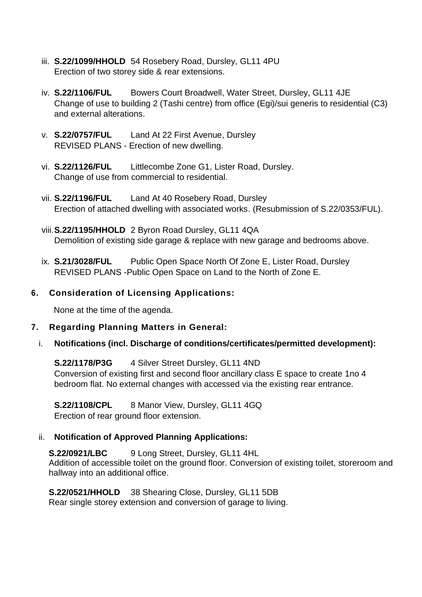- iii. **S.22/1099/HHOLD** 54 Rosebery Road, Dursley, GL11 4PU Erection of two storey side & rear extensions.
- iv. **S.22/1106/FUL** Bowers Court Broadwell, Water Street, Dursley, GL11 4JE Change of use to building 2 (Tashi centre) from office (Egi)/sui generis to residential (C3) and external alterations.
- v. **S.22/0757/FUL** Land At 22 First Avenue, Dursley REVISED PLANS - Erection of new dwelling.
- vi. **S.22/1126/FUL** Littlecombe Zone G1, Lister Road, Dursley. Change of use from commercial to residential.
- vii. **S.22/1196/FUL** Land At 40 Rosebery Road, Dursley Erection of attached dwelling with associated works. (Resubmission of S.22/0353/FUL).
- viii.**S.22/1195/HHOLD** 2 Byron Road Dursley, GL11 4QA Demolition of existing side garage & replace with new garage and bedrooms above.
- ix. **S.21/3028/FUL** Public Open Space North Of Zone E, Lister Road, Dursley REVISED PLANS -Public Open Space on Land to the North of Zone E.

# **6. Consideration of Licensing Applications:**

None at the time of the agenda.

### **7. Regarding Planning Matters in General:**

i. **Notifications (incl. Discharge of conditions/certificates/permitted development):**

**S.22/1178/P3G** 4 Silver Street Dursley, GL11 4ND Conversion of existing first and second floor ancillary class E space to create 1no 4 bedroom flat. No external changes with accessed via the existing rear entrance.

**S.22/1108/CPL** 8 Manor View, Dursley, GL11 4GQ Erection of rear ground floor extension.

### ii. **Notification of Approved Planning Applications:**

**S.22/0921/LBC** 9 Long Street, Dursley, GL11 4HL Addition of accessible toilet on the ground floor. Conversion of existing toilet, storeroom and hallway into an additional office.

**S.22/0521/HHOLD** 38 Shearing Close, Dursley, GL11 5DB Rear single storey extension and conversion of garage to living.